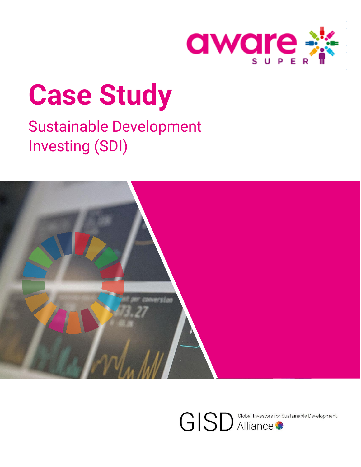

# **Case Study**

## Sustainable Development Investing (SDI)



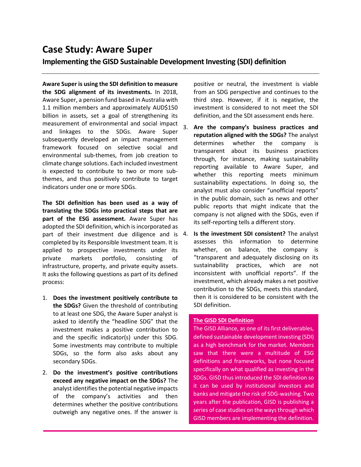### **Case Study: Aware Super**

#### **Implementing the GISD Sustainable Development Investing (SDI) definition**

**Aware Super is using the SDI definition to measure the SDG alignment of its investments.** In 2018, Aware Super, a pension fund based in Australia with 1.1 million members and approximately AUD\$150 billion in assets, set a goal of strengthening its measurement of environmental and social impact and linkages to the SDGs. Aware Super subsequently developed an impact management framework focused on selective social and environmental sub-themes, from job creation to climate change solutions. Each included investment is expected to contribute to two or more subthemes, and thus positively contribute to target indicators under one or more SDGs.

**The SDI definition has been used as a way of translating the SDGs into practical steps that are part of the ESG assessment.** Aware Super has adopted the SDI definition, which is incorporated as part of their investment due diligence and is 4. completed by its Responsible Investment team. It is applied to prospective investments under its private markets portfolio, consisting of infrastructure, property, and private equity assets. It asks the following questions as part of its defined process:

- 1. **Does the investment positively contribute to the SDGs?** Given the threshold of contributing to at least one SDG, the Aware Super analyst is asked to identify the "headline SDG" that the investment makes a positive contribution to and the specific indicator(s) under this SDG. Some investments may contribute to multiple SDGs, so the form also asks about any secondary SDGs.
- 2. **Do the investment's positive contributions exceed any negative impact on the SDGs?** The analyst identifies the potential negative impacts of the company's activities and then determines whether the positive contributions outweigh any negative ones. If the answer is

positive or neutral, the investment is viable from an SDG perspective and continues to the third step. However, if it is negative, the investment is considered to not meet the SDI definition, and the SDI assessment ends here.

- 3. **Are the company's business practices and reputation aligned with the SDGs?** The analyst determines whether the company transparent about its business practices through, for instance, making sustainability reporting available to Aware Super, and whether this reporting meets minimum sustainability expectations. In doing so, the analyst must also consider "unofficial reports" in the public domain, such as news and other public reports that might indicate that the company is not aligned with the SDGs, even if its self-reporting tells a different story.
	- 4. **Is the investment SDI consistent?** The analyst assesses this information to determine whether, on balance, the company is "transparent and adequately disclosing on its sustainability practices, which are not inconsistent with unofficial reports". If the investment, which already makes a net positive contribution to the SDGs, meets this standard, then it is considered to be consistent with the SDI definition.

#### **The GISD SDI Definition**

The GISD Alliance, as one of its first deliverables, defined sustainable development investing (SDI) as a high benchmark for the market. Members saw that there were a multitude of ESG definitions and frameworks, but none focused specifically on what qualified as investing in the SDGs. GISD thus introduced the SDI definition so it can be used by institutional investors and banks and mitigate the risk of SDG-washing. Two years after the publication, GISD is publishing a series of case studies on the ways through which GISD members are implementing the definition.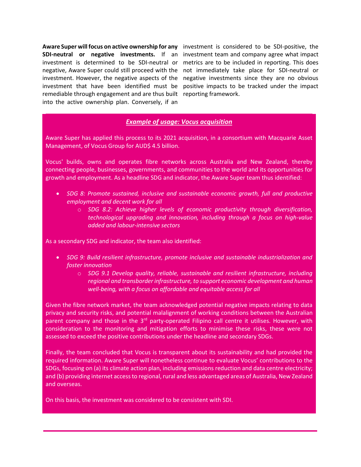**Aware Super will focus on active ownership for any**  investment is considered to be SDI-positive, the investment. However, the negative aspects of the remediable through engagement and are thus built reporting framework. into the active ownership plan. Conversely, if an

SDI-neutral or negative investments. If an investment team and company agree what impact investment is determined to be SDI-neutral or metrics are to be included in reporting. This does negative, Aware Super could still proceed with the not immediately take place for SDI-neutral or investment that have been identified must be positive impacts to be tracked under the impact negative investments since they are no obvious

#### *Example of usage: Vocus acquisition*

Aware Super has applied this process to its 2021 acquisition, in a consortium with Macquarie Asset Management, of Vocus Group for AUD\$ 4.5 billion.

Vocus' builds, owns and operates fibre networks across Australia and New Zealand, thereby connecting people, businesses, governments, and communities to the world and its opportunities for growth and employment. As a headline SDG and indicator, the Aware Super team thus identified:

- *SDG 8: Promote sustained, inclusive and sustainable economic growth, full and productive employment and decent work for all*
	- o *SDG 8.2: Achieve higher levels of economic productivity through diversification, technological upgrading and innovation, including through a focus on high-value added and labour-intensive sectors*

As a secondary SDG and indicator, the team also identified:

- *SDG 9: Build resilient infrastructure, promote inclusive and sustainable industrialization and foster innovation*
	- o *SDG 9.1 Develop quality, reliable, sustainable and resilient infrastructure, including regional and transborder infrastructure, to support economic development and human well-being, with a focus on affordable and equitable access for all*

Given the fibre network market, the team acknowledged potential negative impacts relating to data privacy and security risks, and potential malalignment of working conditions between the Australian parent company and those in the 3<sup>rd</sup> party-operated Filipino call centre it utilises. However, with consideration to the monitoring and mitigation efforts to minimise these risks, these were not assessed to exceed the positive contributions under the headline and secondary SDGs.

Finally, the team concluded that Vocus is transparent about its sustainability and had provided the required information. Aware Super will nonetheless continue to evaluate Vocus' contributions to the SDGs, focusing on (a) its climate action plan, including emissions reduction and data centre electricity; and (b) providing internet access to regional, rural and less advantaged areas of Australia, New Zealand and overseas.

On this basis, the investment was considered to be consistent with SDI.